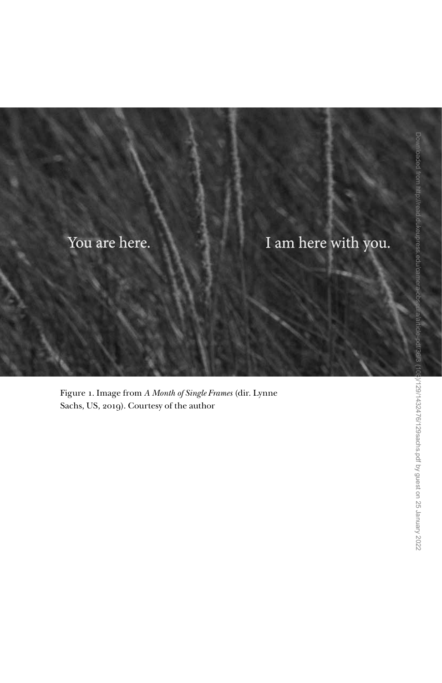## You are here.

I am here with you.

Figure 1. Image from *A Month of Single Frames* (dir. Lynne Sachs, US, 2019). Courtesy of the author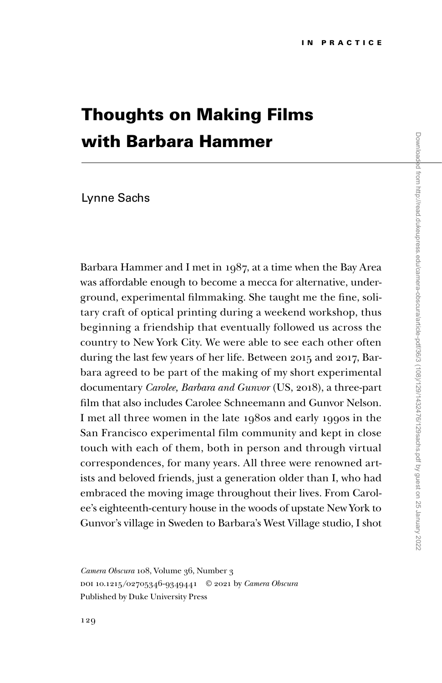## Thoughts on Making Films with Barbara Hammer

## Lynne Sachs

Barbara Hammer and I met in 1987, at a time when the Bay Area was affordable enough to become a mecca for alternative, underground, experimental filmmaking. She taught me the fine, solitary craft of optical printing during a weekend workshop, thus beginning a friendship that eventually followed us across the country to New York City. We were able to see each other often during the last few years of her life. Between 2015 and 2017, Barbara agreed to be part of the making of my short experimental documentary *Carolee, Barbara and Gunvor* (US, 2018), a three-part film that also includes Carolee Schneemann and Gunvor Nelson. I met all three women in the late 1980s and early 1990s in the San Francisco experimental film community and kept in close touch with each of them, both in person and through virtual correspondences, for many years. All three were renowned artists and beloved friends, just a generation older than I, who had embraced the moving image throughout their lives. From Carolee's eighteenth-century house in the woods of upstate New York to Gunvor's village in Sweden to Barbara's West Village studio, I shot

*Camera Obscura* 108, Volume 36, Number 3 doi 10.1215/02705346-9349441 © 2021 by *Camera Obscura* Published by Duke University Press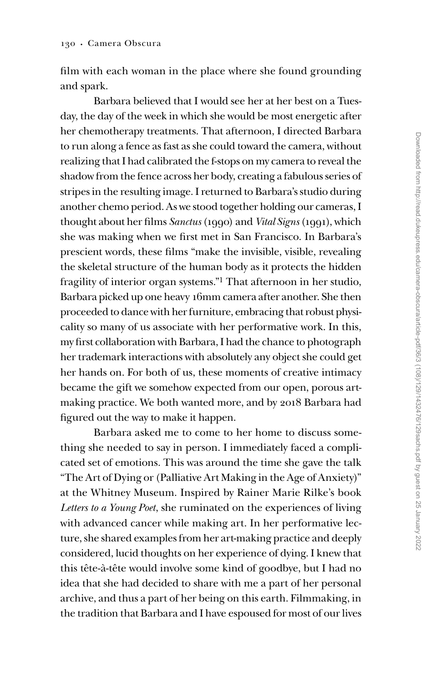film with each woman in the place where she found grounding and spark.

Barbara believed that I would see her at her best on a Tuesday, the day of the week in which she would be most energetic after her chemotherapy treatments. That afternoon, I directed Barbara to run along a fence as fast as she could toward the camera, without realizing that I had calibrated the f-stops on my camera to reveal the shadow from the fence across her body, creating a fabulous series of stripes in the resulting image. I returned to Barbara's studio during another chemo period. As we stood together holding our cameras, I thought about her films *Sanctus* (1990) and *Vital Signs* (1991), which she was making when we first met in San Francisco. In Barbara's prescient words, these films "make the invisible, visible, revealing the skeletal structure of the human body as it protects the hidden fragility of interior organ systems."1 That afternoon in her studio, Barbara picked up one heavy 16mm camera after another. She then proceeded to dance with her furniture, embracing that robust physicality so many of us associate with her performative work. In this, my first collaboration with Barbara, I had the chance to photograph her trademark interactions with absolutely any object she could get her hands on. For both of us, these moments of creative intimacy became the gift we somehow expected from our open, porous artmaking practice. We both wanted more, and by 2018 Barbara had figured out the way to make it happen.

Barbara asked me to come to her home to discuss something she needed to say in person. I immediately faced a complicated set of emotions. This was around the time she gave the talk "The Art of Dying or (Palliative Art Making in the Age of Anxiety)" at the Whitney Museum. Inspired by Rainer Marie Rilke's book *Letters to a Young Poet*, she ruminated on the experiences of living with advanced cancer while making art. In her performative lecture, she shared examples from her art-making practice and deeply considered, lucid thoughts on her experience of dying. I knew that this tête-à-tête would involve some kind of goodbye, but I had no idea that she had decided to share with me a part of her personal archive, and thus a part of her being on this earth. Filmmaking, in the tradition that Barbara and I have espoused for most of our lives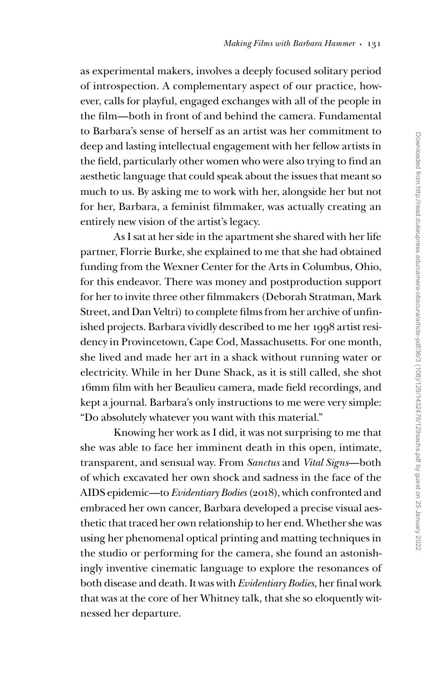as experimental makers, involves a deeply focused solitary period of introspection. A complementary aspect of our practice, however, calls for playful, engaged exchanges with all of the people in the film—both in front of and behind the camera. Fundamental to Barbara's sense of herself as an artist was her commitment to deep and lasting intellectual engagement with her fellow artists in the field, particularly other women who were also trying to find an aesthetic language that could speak about the issues that meant so much to us. By asking me to work with her, alongside her but not for her, Barbara, a feminist filmmaker, was actually creating an entirely new vision of the artist's legacy.

As I sat at her side in the apartment she shared with her life partner, Florrie Burke, she explained to me that she had obtained funding from the Wexner Center for the Arts in Columbus, Ohio, for this endeavor. There was money and postproduction support for her to invite three other filmmakers (Deborah Stratman, Mark Street, and Dan Veltri) to complete films from her archive of unfinished projects. Barbara vividly described to me her 1998 artist residency in Provincetown, Cape Cod, Massachusetts. For one month, she lived and made her art in a shack without running water or electricity. While in her Dune Shack, as it is still called, she shot 16mm film with her Beaulieu camera, made field recordings, and kept a journal. Barbara's only instructions to me were very simple: "Do absolutely whatever you want with this material."

Knowing her work as I did, it was not surprising to me that she was able to face her imminent death in this open, intimate, transparent, and sensual way. From *Sanctus* and *Vital Signs*—both of which excavated her own shock and sadness in the face of the AIDS epidemic—to *Evidentiary Bodies* (2018), which confronted and embraced her own cancer, Barbara developed a precise visual aesthetic that traced her own relationship to her end. Whether she was using her phenomenal optical printing and matting techniques in the studio or performing for the camera, she found an astonishingly inventive cinematic language to explore the resonances of both disease and death. It was with *Evidentiary Bodies*, her final work that was at the core of her Whitney talk, that she so eloquently witnessed her departure.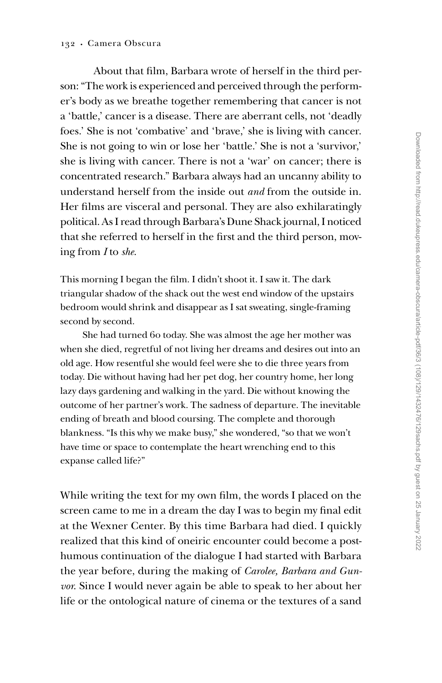About that film, Barbara wrote of herself in the third person: "The work is experienced and perceived through the performer's body as we breathe together remembering that cancer is not a 'battle,' cancer is a disease. There are aberrant cells, not 'deadly foes.' She is not 'combative' and 'brave,' she is living with cancer. She is not going to win or lose her 'battle.' She is not a 'survivor,' she is living with cancer. There is not a 'war' on cancer; there is concentrated research." Barbara always had an uncanny ability to understand herself from the inside out *and* from the outside in. Her films are visceral and personal. They are also exhilaratingly political. As I read through Barbara's Dune Shack journal, I noticed that she referred to herself in the first and the third person, moving from *I* to *she*.

This morning I began the film. I didn't shoot it. I saw it. The dark triangular shadow of the shack out the west end window of the upstairs bedroom would shrink and disappear as I sat sweating, single-framing second by second.

She had turned 60 today. She was almost the age her mother was when she died, regretful of not living her dreams and desires out into an old age. How resentful she would feel were she to die three years from today. Die without having had her pet dog, her country home, her long lazy days gardening and walking in the yard. Die without knowing the outcome of her partner's work. The sadness of departure. The inevitable ending of breath and blood coursing. The complete and thorough blankness. "Is this why we make busy," she wondered, "so that we won't have time or space to contemplate the heart wrenching end to this expanse called life?"

While writing the text for my own film, the words I placed on the screen came to me in a dream the day I was to begin my final edit at the Wexner Center. By this time Barbara had died. I quickly realized that this kind of oneiric encounter could become a posthumous continuation of the dialogue I had started with Barbara the year before, during the making of *Carolee, Barbara and Gunvor*. Since I would never again be able to speak to her about her life or the ontological nature of cinema or the textures of a sand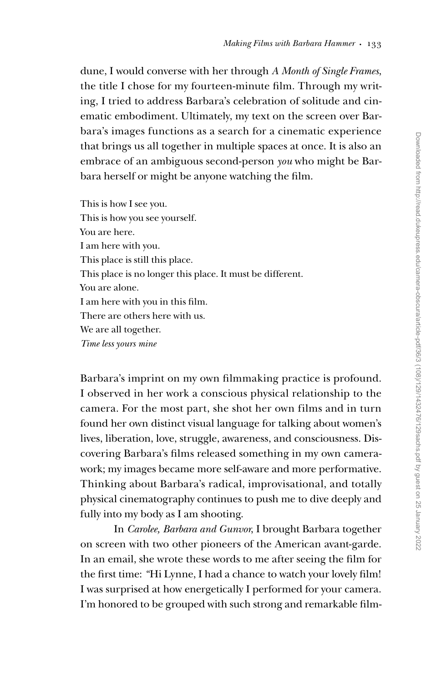dune, I would converse with her through *A Month of Single Frames*, the title I chose for my fourteen-minute film. Through my writing, I tried to address Barbara's celebration of solitude and cinematic embodiment. Ultimately, my text on the screen over Barbara's images functions as a search for a cinematic experience that brings us all together in multiple spaces at once. It is also an embrace of an ambiguous second-person *you* who might be Barbara herself or might be anyone watching the film.

This is how I see you. This is how you see yourself. You are here. I am here with you. This place is still this place. This place is no longer this place. It must be different. You are alone. I am here with you in this film. There are others here with us. We are all together. *Time less yours mine*

Barbara's imprint on my own filmmaking practice is profound. I observed in her work a conscious physical relationship to the camera. For the most part, she shot her own films and in turn found her own distinct visual language for talking about women's lives, liberation, love, struggle, awareness, and consciousness. Discovering Barbara's films released something in my own camerawork; my images became more self-aware and more performative. Thinking about Barbara's radical, improvisational, and totally physical cinematography continues to push me to dive deeply and fully into my body as I am shooting.

In *Carolee, Barbara and Gunvor*, I brought Barbara together on screen with two other pioneers of the American avant-garde. In an email, she wrote these words to me after seeing the film for the first time: *"*Hi Lynne, I had a chance to watch your lovely film! I was surprised at how energetically I performed for your camera. I'm honored to be grouped with such strong and remarkable film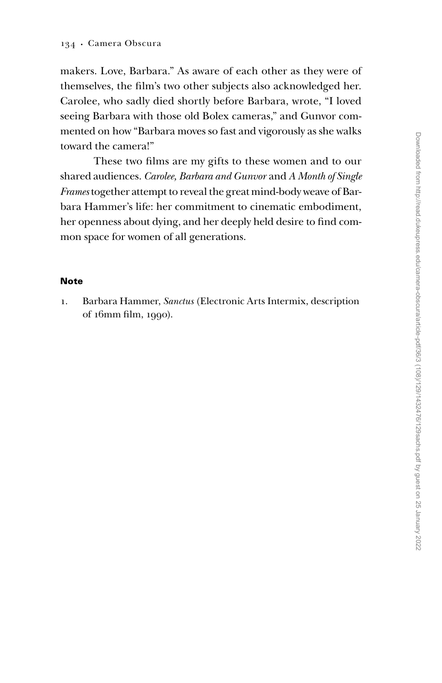makers. Love, Barbara." As aware of each other as they were of themselves, the film's two other subjects also acknowledged her. Carolee, who sadly died shortly before Barbara, wrote, "I loved seeing Barbara with those old Bolex cameras," and Gunvor commented on how "Barbara moves so fast and vigorously as she walks toward the camera!"

These two films are my gifts to these women and to our shared audiences. *Carolee, Barbara and Gunvor* and *A Month of Single Frames* together attempt to reveal the great mind-body weave of Barbara Hammer's life: her commitment to cinematic embodiment, her openness about dying, and her deeply held desire to find common space for women of all generations.

## **Note**

1. Barbara Hammer, *Sanctus* (Electronic Arts Intermix, description of 16mm film, 1990).